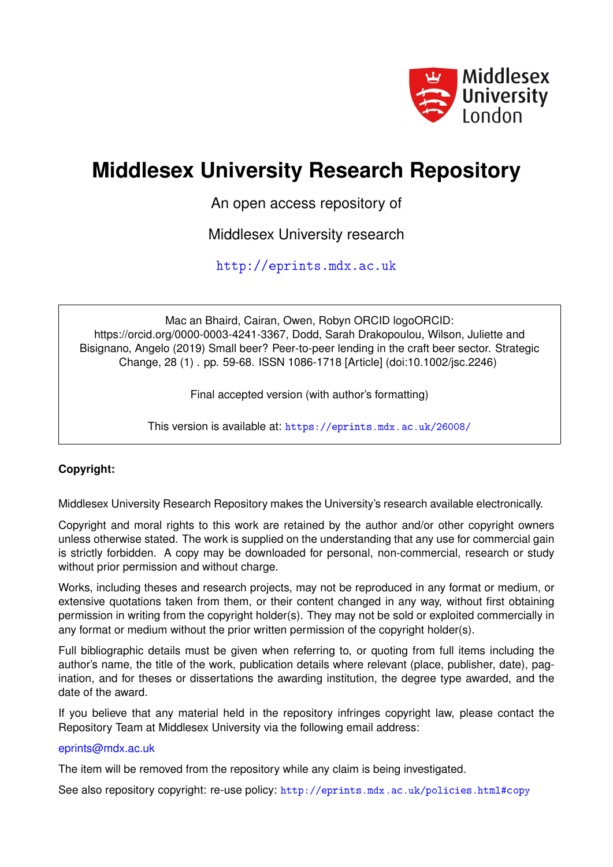

# **Middlesex University Research Repository**

An open access repository of

Middlesex University research

<http://eprints.mdx.ac.uk>

Mac an Bhaird, Cairan, Owen, Robyn ORCID logoORCID: https://orcid.org/0000-0003-4241-3367, Dodd, Sarah Drakopoulou, Wilson, Juliette and Bisignano, Angelo (2019) Small beer? Peer-to-peer lending in the craft beer sector. Strategic Change, 28 (1) . pp. 59-68. ISSN 1086-1718 [Article] (doi:10.1002/jsc.2246)

Final accepted version (with author's formatting)

This version is available at: <https://eprints.mdx.ac.uk/26008/>

# **Copyright:**

Middlesex University Research Repository makes the University's research available electronically.

Copyright and moral rights to this work are retained by the author and/or other copyright owners unless otherwise stated. The work is supplied on the understanding that any use for commercial gain is strictly forbidden. A copy may be downloaded for personal, non-commercial, research or study without prior permission and without charge.

Works, including theses and research projects, may not be reproduced in any format or medium, or extensive quotations taken from them, or their content changed in any way, without first obtaining permission in writing from the copyright holder(s). They may not be sold or exploited commercially in any format or medium without the prior written permission of the copyright holder(s).

Full bibliographic details must be given when referring to, or quoting from full items including the author's name, the title of the work, publication details where relevant (place, publisher, date), pagination, and for theses or dissertations the awarding institution, the degree type awarded, and the date of the award.

If you believe that any material held in the repository infringes copyright law, please contact the Repository Team at Middlesex University via the following email address:

## [eprints@mdx.ac.uk](mailto:eprints@mdx.ac.uk)

The item will be removed from the repository while any claim is being investigated.

See also repository copyright: re-use policy: <http://eprints.mdx.ac.uk/policies.html#copy>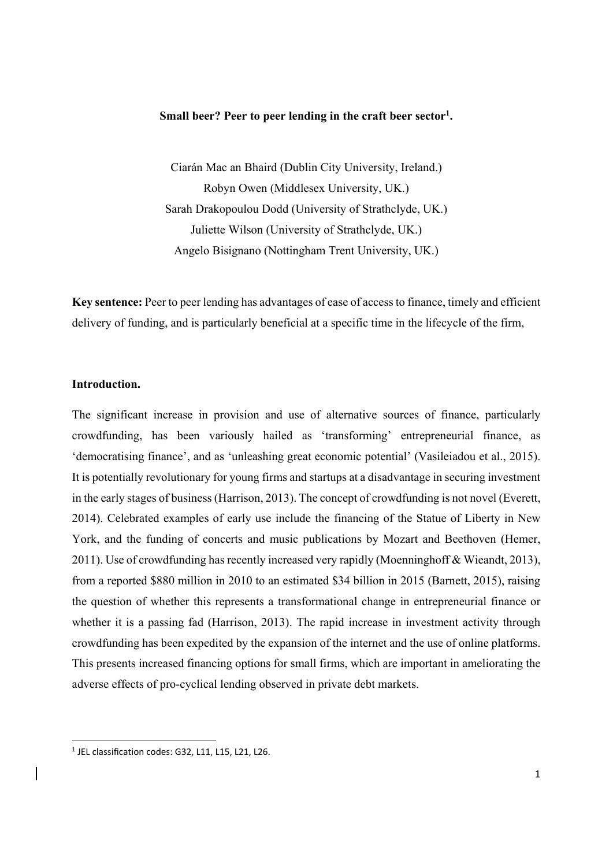## Small beer? Peer to peer lending in the craft beer sector<sup>1</sup>.

Ciarán Mac an Bhaird (Dublin City University, Ireland.) Robyn Owen (Middlesex University, UK.) Sarah Drakopoulou Dodd (University of Strathclyde, UK.) Juliette Wilson (University of Strathclyde, UK.) Angelo Bisignano (Nottingham Trent University, UK.)

**Key sentence:** Peer to peer lending has advantages of ease of access to finance, timely and efficient delivery of funding, and is particularly beneficial at a specific time in the lifecycle of the firm,

## **Introduction.**

The significant increase in provision and use of alternative sources of finance, particularly crowdfunding, has been variously hailed as 'transforming' entrepreneurial finance, as 'democratising finance', and as 'unleashing great economic potential' (Vasileiadou et al., 2015). It is potentially revolutionary for young firms and startups at a disadvantage in securing investment in the early stages of business (Harrison, 2013). The concept of crowdfunding is not novel (Everett, 2014). Celebrated examples of early use include the financing of the Statue of Liberty in New York, and the funding of concerts and music publications by Mozart and Beethoven (Hemer, 2011). Use of crowdfunding has recently increased very rapidly (Moenninghoff & Wieandt, 2013), from a reported \$880 million in 2010 to an estimated \$34 billion in 2015 (Barnett, 2015), raising the question of whether this represents a transformational change in entrepreneurial finance or whether it is a passing fad (Harrison, 2013). The rapid increase in investment activity through crowdfunding has been expedited by the expansion of the internet and the use of online platforms. This presents increased financing options for small firms, which are important in ameliorating the adverse effects of pro-cyclical lending observed in private debt markets.

 1 JEL classification codes: G32, L11, L15, L21, L26.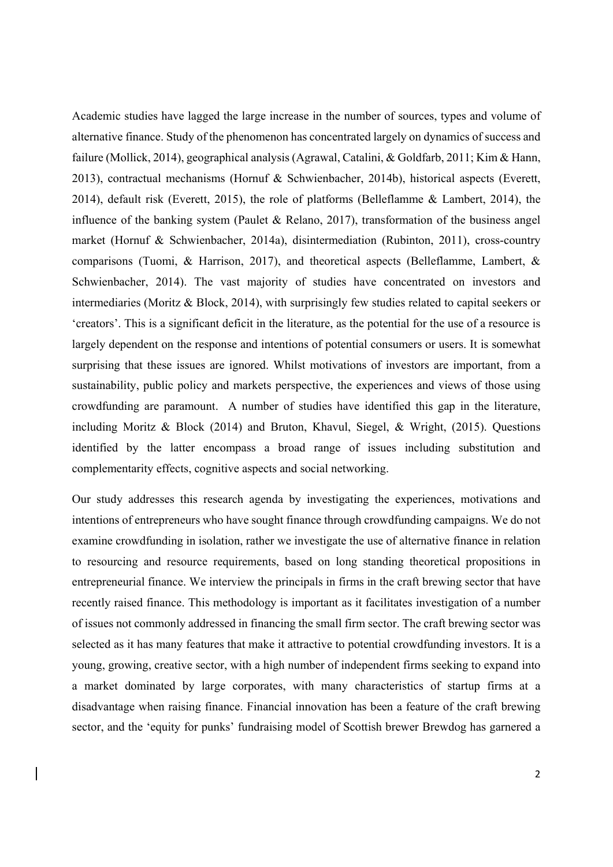Academic studies have lagged the large increase in the number of sources, types and volume of alternative finance. Study of the phenomenon has concentrated largely on dynamics of success and failure (Mollick, 2014), geographical analysis (Agrawal, Catalini, & Goldfarb, 2011; Kim & Hann, 2013), contractual mechanisms (Hornuf & Schwienbacher, 2014b), historical aspects (Everett, 2014), default risk (Everett, 2015), the role of platforms (Belleflamme & Lambert, 2014), the influence of the banking system (Paulet & Relano, 2017), transformation of the business angel market (Hornuf & Schwienbacher, 2014a), disintermediation (Rubinton, 2011), cross-country comparisons (Tuomi, & Harrison, 2017), and theoretical aspects (Belleflamme, Lambert, & Schwienbacher, 2014). The vast majority of studies have concentrated on investors and intermediaries (Moritz & Block, 2014), with surprisingly few studies related to capital seekers or 'creators'. This is a significant deficit in the literature, as the potential for the use of a resource is largely dependent on the response and intentions of potential consumers or users. It is somewhat surprising that these issues are ignored. Whilst motivations of investors are important, from a sustainability, public policy and markets perspective, the experiences and views of those using crowdfunding are paramount. A number of studies have identified this gap in the literature, including Moritz & Block (2014) and Bruton, Khavul, Siegel, & Wright, (2015). Questions identified by the latter encompass a broad range of issues including substitution and complementarity effects, cognitive aspects and social networking.

Our study addresses this research agenda by investigating the experiences, motivations and intentions of entrepreneurs who have sought finance through crowdfunding campaigns. We do not examine crowdfunding in isolation, rather we investigate the use of alternative finance in relation to resourcing and resource requirements, based on long standing theoretical propositions in entrepreneurial finance. We interview the principals in firms in the craft brewing sector that have recently raised finance. This methodology is important as it facilitates investigation of a number of issues not commonly addressed in financing the small firm sector. The craft brewing sector was selected as it has many features that make it attractive to potential crowdfunding investors. It is a young, growing, creative sector, with a high number of independent firms seeking to expand into a market dominated by large corporates, with many characteristics of startup firms at a disadvantage when raising finance. Financial innovation has been a feature of the craft brewing sector, and the 'equity for punks' fundraising model of Scottish brewer Brewdog has garnered a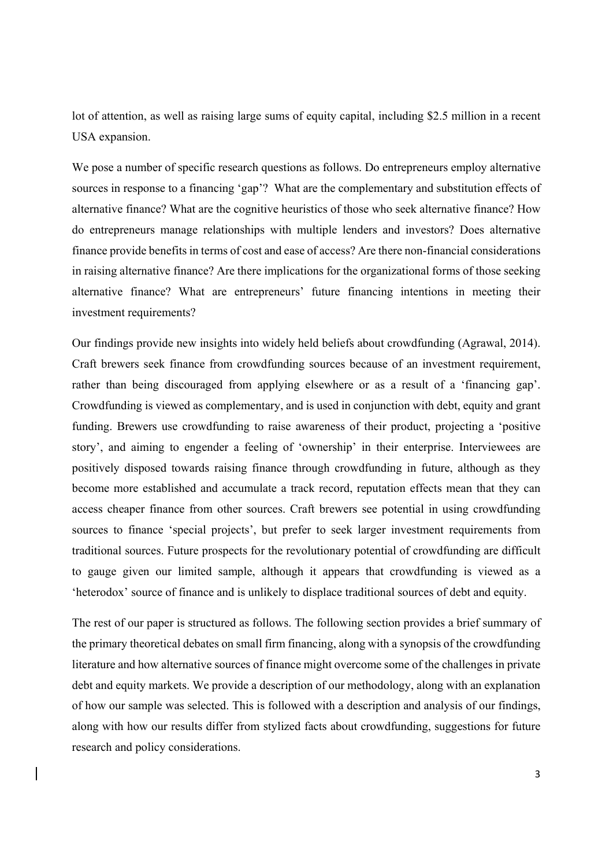lot of attention, as well as raising large sums of equity capital, including \$2.5 million in a recent USA expansion.

We pose a number of specific research questions as follows. Do entrepreneurs employ alternative sources in response to a financing 'gap'? What are the complementary and substitution effects of alternative finance? What are the cognitive heuristics of those who seek alternative finance? How do entrepreneurs manage relationships with multiple lenders and investors? Does alternative finance provide benefits in terms of cost and ease of access? Are there non-financial considerations in raising alternative finance? Are there implications for the organizational forms of those seeking alternative finance? What are entrepreneurs' future financing intentions in meeting their investment requirements?

Our findings provide new insights into widely held beliefs about crowdfunding (Agrawal, 2014). Craft brewers seek finance from crowdfunding sources because of an investment requirement, rather than being discouraged from applying elsewhere or as a result of a 'financing gap'. Crowdfunding is viewed as complementary, and is used in conjunction with debt, equity and grant funding. Brewers use crowdfunding to raise awareness of their product, projecting a 'positive story', and aiming to engender a feeling of 'ownership' in their enterprise. Interviewees are positively disposed towards raising finance through crowdfunding in future, although as they become more established and accumulate a track record, reputation effects mean that they can access cheaper finance from other sources. Craft brewers see potential in using crowdfunding sources to finance 'special projects', but prefer to seek larger investment requirements from traditional sources. Future prospects for the revolutionary potential of crowdfunding are difficult to gauge given our limited sample, although it appears that crowdfunding is viewed as a 'heterodox' source of finance and is unlikely to displace traditional sources of debt and equity.

The rest of our paper is structured as follows. The following section provides a brief summary of the primary theoretical debates on small firm financing, along with a synopsis of the crowdfunding literature and how alternative sources of finance might overcome some of the challenges in private debt and equity markets. We provide a description of our methodology, along with an explanation of how our sample was selected. This is followed with a description and analysis of our findings, along with how our results differ from stylized facts about crowdfunding, suggestions for future research and policy considerations.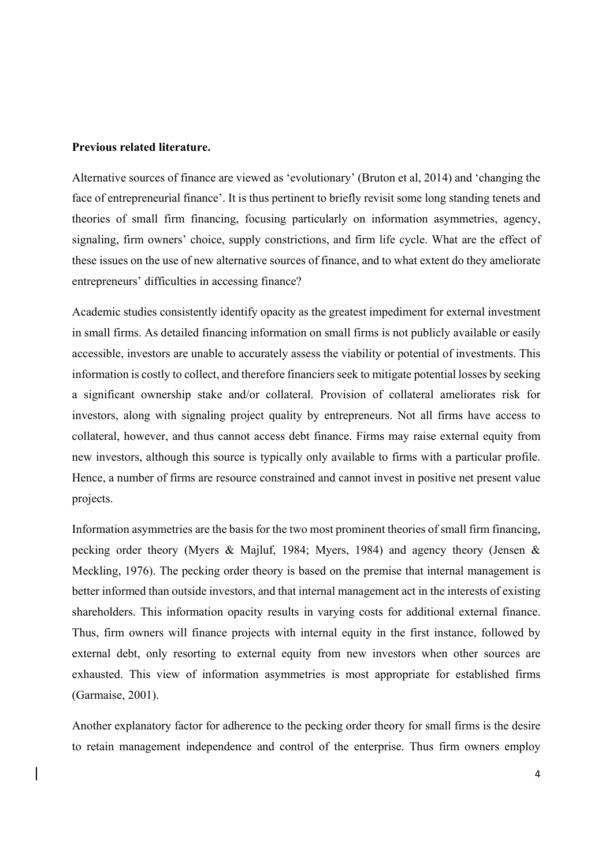#### **Previous related literature.**

Alternative sources of finance are viewed as 'evolutionary' (Bruton et al, 2014) and 'changing the face of entrepreneurial finance'. It is thus pertinent to briefly revisit some long standing tenets and theories of small firm financing, focusing particularly on information asymmetries, agency, signaling, firm owners' choice, supply constrictions, and firm life cycle. What are the effect of these issues on the use of new alternative sources of finance, and to what extent do they ameliorate entrepreneurs' difficulties in accessing finance?

Academic studies consistently identify opacity as the greatest impediment for external investment in small firms. As detailed financing information on small firms is not publicly available or easily accessible, investors are unable to accurately assess the viability or potential of investments. This information is costly to collect, and therefore financiers seek to mitigate potential losses by seeking a significant ownership stake and/or collateral. Provision of collateral ameliorates risk for investors, along with signaling project quality by entrepreneurs. Not all firms have access to collateral, however, and thus cannot access debt finance. Firms may raise external equity from new investors, although this source is typically only available to firms with a particular profile. Hence, a number of firms are resource constrained and cannot invest in positive net present value projects.

Information asymmetries are the basis for the two most prominent theories of small firm financing, pecking order theory (Myers & Majluf, 1984; Myers, 1984) and agency theory (Jensen & Meckling, 1976). The pecking order theory is based on the premise that internal management is better informed than outside investors, and that internal management act in the interests of existing shareholders. This information opacity results in varying costs for additional external finance. Thus, firm owners will finance projects with internal equity in the first instance, followed by external debt, only resorting to external equity from new investors when other sources are exhausted. This view of information asymmetries is most appropriate for established firms (Garmaise, 2001).

Another explanatory factor for adherence to the pecking order theory for small firms is the desire to retain management independence and control of the enterprise. Thus firm owners employ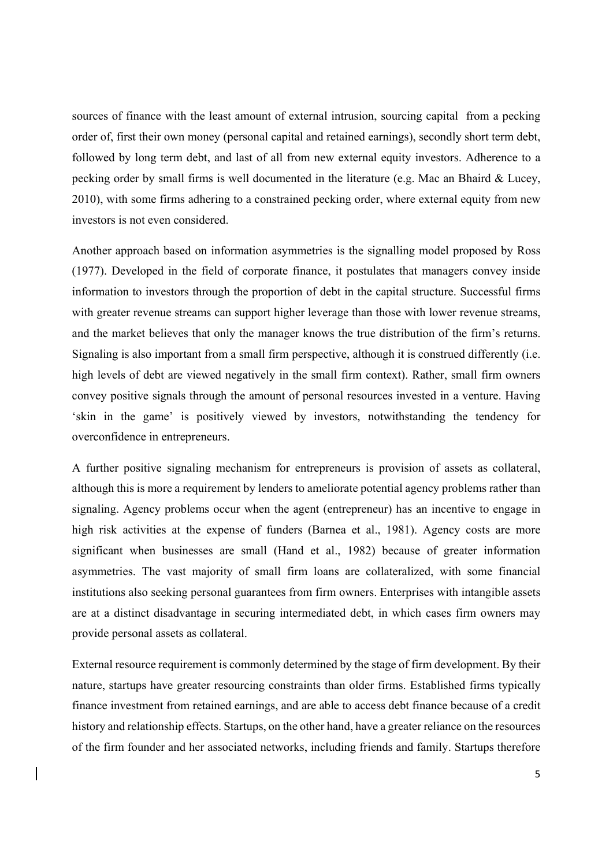sources of finance with the least amount of external intrusion, sourcing capital from a pecking order of, first their own money (personal capital and retained earnings), secondly short term debt, followed by long term debt, and last of all from new external equity investors. Adherence to a pecking order by small firms is well documented in the literature (e.g. Mac an Bhaird & Lucey, 2010), with some firms adhering to a constrained pecking order, where external equity from new investors is not even considered.

Another approach based on information asymmetries is the signalling model proposed by Ross (1977). Developed in the field of corporate finance, it postulates that managers convey inside information to investors through the proportion of debt in the capital structure. Successful firms with greater revenue streams can support higher leverage than those with lower revenue streams, and the market believes that only the manager knows the true distribution of the firm's returns. Signaling is also important from a small firm perspective, although it is construed differently (i.e. high levels of debt are viewed negatively in the small firm context). Rather, small firm owners convey positive signals through the amount of personal resources invested in a venture. Having 'skin in the game' is positively viewed by investors, notwithstanding the tendency for overconfidence in entrepreneurs.

A further positive signaling mechanism for entrepreneurs is provision of assets as collateral, although this is more a requirement by lenders to ameliorate potential agency problems rather than signaling. Agency problems occur when the agent (entrepreneur) has an incentive to engage in high risk activities at the expense of funders (Barnea et al., 1981). Agency costs are more significant when businesses are small (Hand et al., 1982) because of greater information asymmetries. The vast majority of small firm loans are collateralized, with some financial institutions also seeking personal guarantees from firm owners. Enterprises with intangible assets are at a distinct disadvantage in securing intermediated debt, in which cases firm owners may provide personal assets as collateral.

External resource requirement is commonly determined by the stage of firm development. By their nature, startups have greater resourcing constraints than older firms. Established firms typically finance investment from retained earnings, and are able to access debt finance because of a credit history and relationship effects. Startups, on the other hand, have a greater reliance on the resources of the firm founder and her associated networks, including friends and family. Startups therefore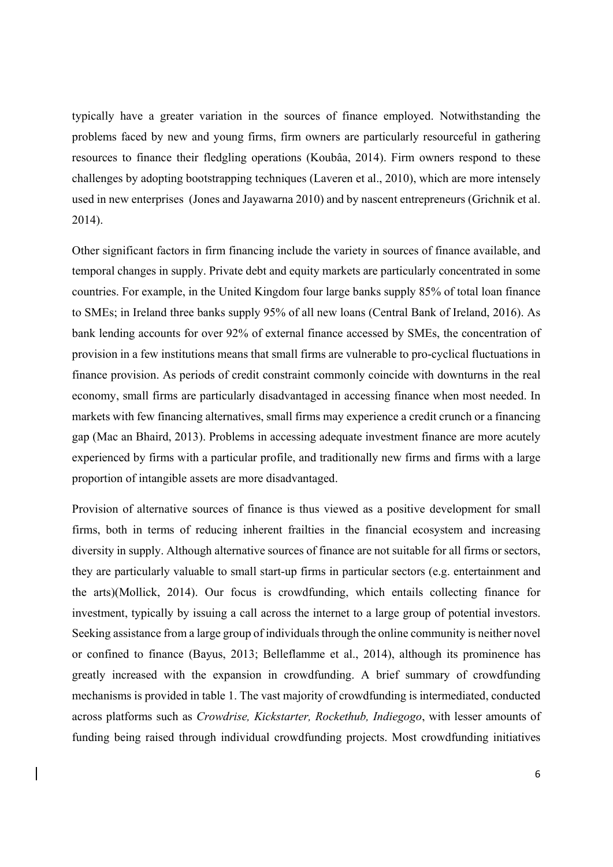typically have a greater variation in the sources of finance employed. Notwithstanding the problems faced by new and young firms, firm owners are particularly resourceful in gathering resources to finance their fledgling operations (Koubâa, 2014). Firm owners respond to these challenges by adopting bootstrapping techniques (Laveren et al., 2010), which are more intensely used in new enterprises (Jones and Jayawarna 2010) and by nascent entrepreneurs (Grichnik et al. 2014).

Other significant factors in firm financing include the variety in sources of finance available, and temporal changes in supply. Private debt and equity markets are particularly concentrated in some countries. For example, in the United Kingdom four large banks supply 85% of total loan finance to SMEs; in Ireland three banks supply 95% of all new loans (Central Bank of Ireland, 2016). As bank lending accounts for over 92% of external finance accessed by SMEs, the concentration of provision in a few institutions means that small firms are vulnerable to pro-cyclical fluctuations in finance provision. As periods of credit constraint commonly coincide with downturns in the real economy, small firms are particularly disadvantaged in accessing finance when most needed. In markets with few financing alternatives, small firms may experience a credit crunch or a financing gap (Mac an Bhaird, 2013). Problems in accessing adequate investment finance are more acutely experienced by firms with a particular profile, and traditionally new firms and firms with a large proportion of intangible assets are more disadvantaged.

Provision of alternative sources of finance is thus viewed as a positive development for small firms, both in terms of reducing inherent frailties in the financial ecosystem and increasing diversity in supply. Although alternative sources of finance are not suitable for all firms or sectors, they are particularly valuable to small start-up firms in particular sectors (e.g. entertainment and the arts)(Mollick, 2014). Our focus is crowdfunding, which entails collecting finance for investment, typically by issuing a call across the internet to a large group of potential investors. Seeking assistance from a large group of individuals through the online community is neither novel or confined to finance (Bayus, 2013; Belleflamme et al., 2014), although its prominence has greatly increased with the expansion in crowdfunding. A brief summary of crowdfunding mechanisms is provided in table 1. The vast majority of crowdfunding is intermediated, conducted across platforms such as *Crowdrise, Kickstarter, Rockethub, Indiegogo*, with lesser amounts of funding being raised through individual crowdfunding projects. Most crowdfunding initiatives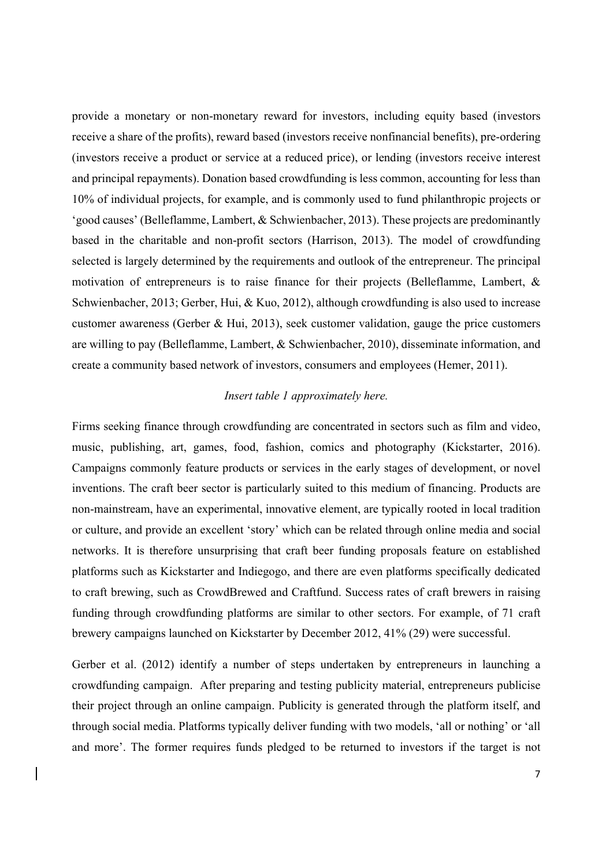provide a monetary or non-monetary reward for investors, including equity based (investors receive a share of the profits), reward based (investors receive nonfinancial benefits), pre-ordering (investors receive a product or service at a reduced price), or lending (investors receive interest and principal repayments). Donation based crowdfunding is less common, accounting for less than 10% of individual projects, for example, and is commonly used to fund philanthropic projects or 'good causes' (Belleflamme, Lambert, & Schwienbacher, 2013). These projects are predominantly based in the charitable and non-profit sectors (Harrison, 2013). The model of crowdfunding selected is largely determined by the requirements and outlook of the entrepreneur. The principal motivation of entrepreneurs is to raise finance for their projects (Belleflamme, Lambert, & Schwienbacher, 2013; Gerber, Hui, & Kuo, 2012), although crowdfunding is also used to increase customer awareness (Gerber & Hui, 2013), seek customer validation, gauge the price customers are willing to pay (Belleflamme, Lambert, & Schwienbacher, 2010), disseminate information, and create a community based network of investors, consumers and employees (Hemer, 2011).

## *Insert table 1 approximately here.*

Firms seeking finance through crowdfunding are concentrated in sectors such as film and video, music, publishing, art, games, food, fashion, comics and photography (Kickstarter, 2016). Campaigns commonly feature products or services in the early stages of development, or novel inventions. The craft beer sector is particularly suited to this medium of financing. Products are non-mainstream, have an experimental, innovative element, are typically rooted in local tradition or culture, and provide an excellent 'story' which can be related through online media and social networks. It is therefore unsurprising that craft beer funding proposals feature on established platforms such as Kickstarter and Indiegogo, and there are even platforms specifically dedicated to craft brewing, such as CrowdBrewed and Craftfund. Success rates of craft brewers in raising funding through crowdfunding platforms are similar to other sectors. For example, of 71 craft brewery campaigns launched on Kickstarter by December 2012, 41% (29) were successful.

Gerber et al. (2012) identify a number of steps undertaken by entrepreneurs in launching a crowdfunding campaign. After preparing and testing publicity material, entrepreneurs publicise their project through an online campaign. Publicity is generated through the platform itself, and through social media. Platforms typically deliver funding with two models, 'all or nothing' or 'all and more'. The former requires funds pledged to be returned to investors if the target is not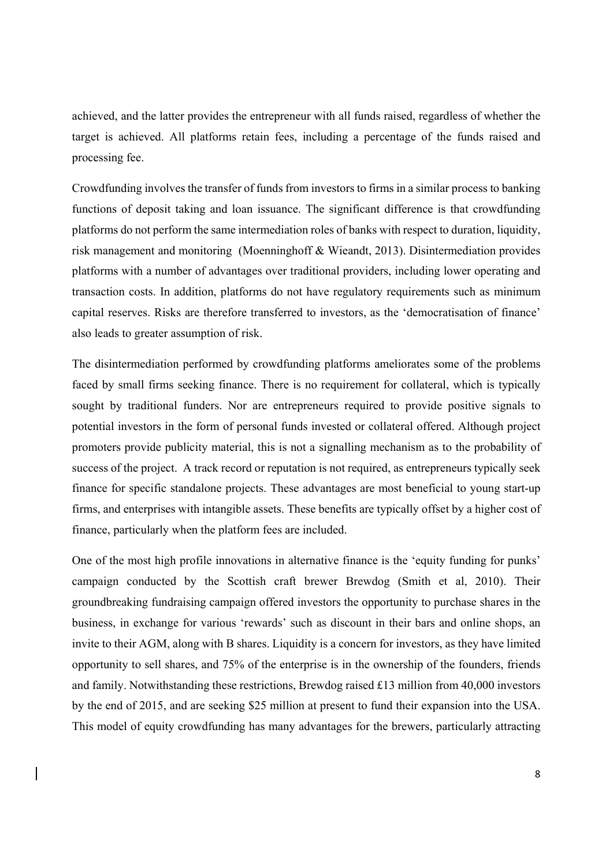achieved, and the latter provides the entrepreneur with all funds raised, regardless of whether the target is achieved. All platforms retain fees, including a percentage of the funds raised and processing fee.

Crowdfunding involves the transfer of funds from investors to firms in a similar process to banking functions of deposit taking and loan issuance. The significant difference is that crowdfunding platforms do not perform the same intermediation roles of banks with respect to duration, liquidity, risk management and monitoring (Moenninghoff & Wieandt, 2013). Disintermediation provides platforms with a number of advantages over traditional providers, including lower operating and transaction costs. In addition, platforms do not have regulatory requirements such as minimum capital reserves. Risks are therefore transferred to investors, as the 'democratisation of finance' also leads to greater assumption of risk.

The disintermediation performed by crowdfunding platforms ameliorates some of the problems faced by small firms seeking finance. There is no requirement for collateral, which is typically sought by traditional funders. Nor are entrepreneurs required to provide positive signals to potential investors in the form of personal funds invested or collateral offered. Although project promoters provide publicity material, this is not a signalling mechanism as to the probability of success of the project. A track record or reputation is not required, as entrepreneurs typically seek finance for specific standalone projects. These advantages are most beneficial to young start-up firms, and enterprises with intangible assets. These benefits are typically offset by a higher cost of finance, particularly when the platform fees are included.

One of the most high profile innovations in alternative finance is the 'equity funding for punks' campaign conducted by the Scottish craft brewer Brewdog (Smith et al, 2010). Their groundbreaking fundraising campaign offered investors the opportunity to purchase shares in the business, in exchange for various 'rewards' such as discount in their bars and online shops, an invite to their AGM, along with B shares. Liquidity is a concern for investors, as they have limited opportunity to sell shares, and 75% of the enterprise is in the ownership of the founders, friends and family. Notwithstanding these restrictions, Brewdog raised £13 million from 40,000 investors by the end of 2015, and are seeking \$25 million at present to fund their expansion into the USA. This model of equity crowdfunding has many advantages for the brewers, particularly attracting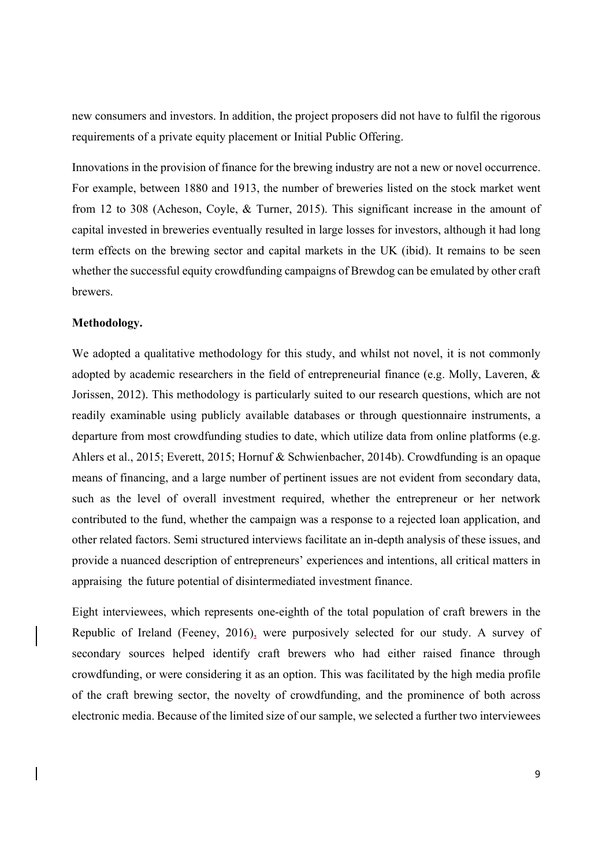new consumers and investors. In addition, the project proposers did not have to fulfil the rigorous requirements of a private equity placement or Initial Public Offering.

Innovations in the provision of finance for the brewing industry are not a new or novel occurrence. For example, between 1880 and 1913, the number of breweries listed on the stock market went from 12 to 308 (Acheson, Coyle, & Turner, 2015). This significant increase in the amount of capital invested in breweries eventually resulted in large losses for investors, although it had long term effects on the brewing sector and capital markets in the UK (ibid). It remains to be seen whether the successful equity crowdfunding campaigns of Brewdog can be emulated by other craft brewers.

#### **Methodology.**

We adopted a qualitative methodology for this study, and whilst not novel, it is not commonly adopted by academic researchers in the field of entrepreneurial finance (e.g. Molly, Laveren, & Jorissen, 2012). This methodology is particularly suited to our research questions, which are not readily examinable using publicly available databases or through questionnaire instruments, a departure from most crowdfunding studies to date, which utilize data from online platforms (e.g. Ahlers et al., 2015; Everett, 2015; Hornuf & Schwienbacher, 2014b). Crowdfunding is an opaque means of financing, and a large number of pertinent issues are not evident from secondary data, such as the level of overall investment required, whether the entrepreneur or her network contributed to the fund, whether the campaign was a response to a rejected loan application, and other related factors. Semi structured interviews facilitate an in-depth analysis of these issues, and provide a nuanced description of entrepreneurs' experiences and intentions, all critical matters in appraising the future potential of disintermediated investment finance.

Eight interviewees, which represents one-eighth of the total population of craft brewers in the Republic of Ireland (Feeney, 2016), were purposively selected for our study. A survey of secondary sources helped identify craft brewers who had either raised finance through crowdfunding, or were considering it as an option. This was facilitated by the high media profile of the craft brewing sector, the novelty of crowdfunding, and the prominence of both across electronic media. Because of the limited size of our sample, we selected a further two interviewees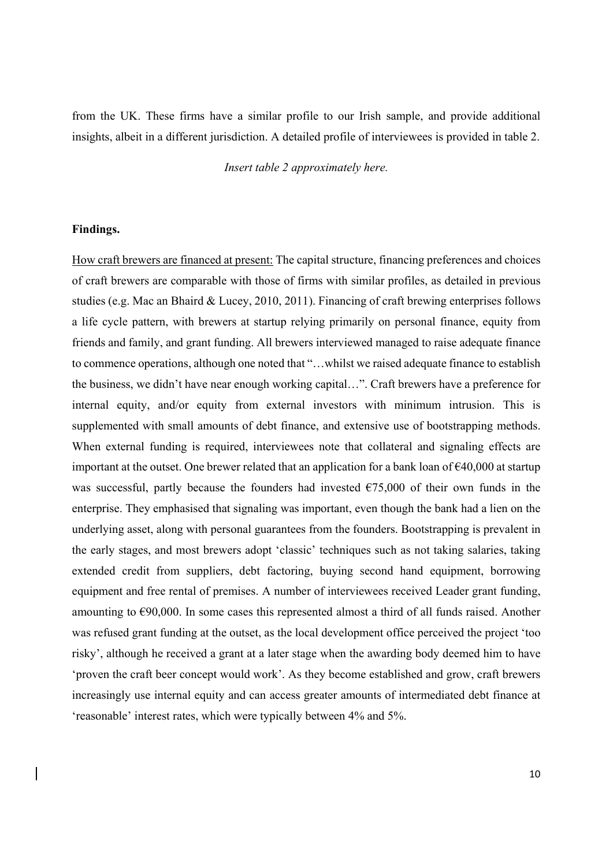from the UK. These firms have a similar profile to our Irish sample, and provide additional insights, albeit in a different jurisdiction. A detailed profile of interviewees is provided in table 2.

*Insert table 2 approximately here.* 

#### **Findings.**

How craft brewers are financed at present: The capital structure, financing preferences and choices of craft brewers are comparable with those of firms with similar profiles, as detailed in previous studies (e.g. Mac an Bhaird & Lucey, 2010, 2011). Financing of craft brewing enterprises follows a life cycle pattern, with brewers at startup relying primarily on personal finance, equity from friends and family, and grant funding. All brewers interviewed managed to raise adequate finance to commence operations, although one noted that "…whilst we raised adequate finance to establish the business, we didn't have near enough working capital…". Craft brewers have a preference for internal equity, and/or equity from external investors with minimum intrusion. This is supplemented with small amounts of debt finance, and extensive use of bootstrapping methods. When external funding is required, interviewees note that collateral and signaling effects are important at the outset. One brewer related that an application for a bank loan of  $\epsilon$ 40,000 at startup was successful, partly because the founders had invested  $\epsilon$ 75,000 of their own funds in the enterprise. They emphasised that signaling was important, even though the bank had a lien on the underlying asset, along with personal guarantees from the founders. Bootstrapping is prevalent in the early stages, and most brewers adopt 'classic' techniques such as not taking salaries, taking extended credit from suppliers, debt factoring, buying second hand equipment, borrowing equipment and free rental of premises. A number of interviewees received Leader grant funding, amounting to  $\epsilon$ 90,000. In some cases this represented almost a third of all funds raised. Another was refused grant funding at the outset, as the local development office perceived the project 'too risky', although he received a grant at a later stage when the awarding body deemed him to have 'proven the craft beer concept would work'. As they become established and grow, craft brewers increasingly use internal equity and can access greater amounts of intermediated debt finance at 'reasonable' interest rates, which were typically between 4% and 5%.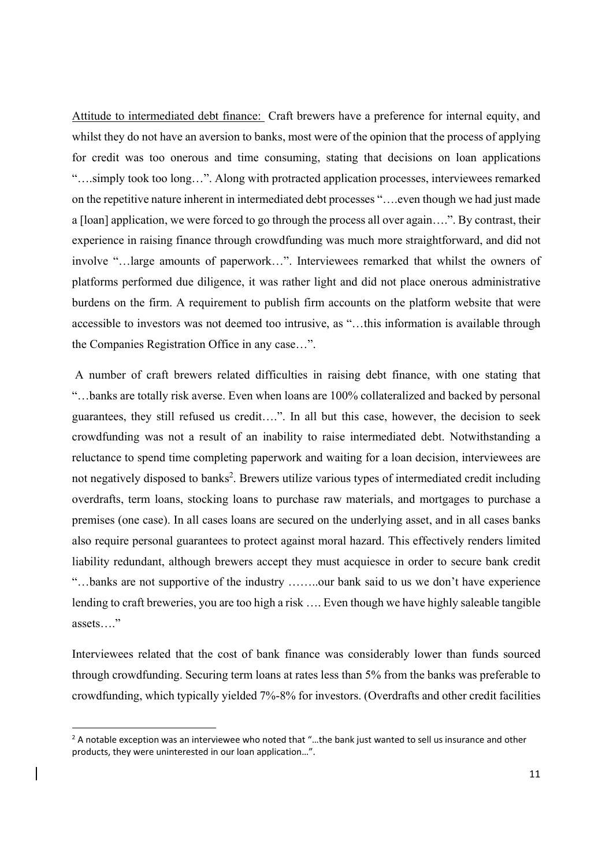Attitude to intermediated debt finance: Craft brewers have a preference for internal equity, and whilst they do not have an aversion to banks, most were of the opinion that the process of applying for credit was too onerous and time consuming, stating that decisions on loan applications "….simply took too long…". Along with protracted application processes, interviewees remarked on the repetitive nature inherent in intermediated debt processes "….even though we had just made a [loan] application, we were forced to go through the process all over again….". By contrast, their experience in raising finance through crowdfunding was much more straightforward, and did not involve "…large amounts of paperwork…". Interviewees remarked that whilst the owners of platforms performed due diligence, it was rather light and did not place onerous administrative burdens on the firm. A requirement to publish firm accounts on the platform website that were accessible to investors was not deemed too intrusive, as "…this information is available through the Companies Registration Office in any case…".

 A number of craft brewers related difficulties in raising debt finance, with one stating that "…banks are totally risk averse. Even when loans are 100% collateralized and backed by personal guarantees, they still refused us credit….". In all but this case, however, the decision to seek crowdfunding was not a result of an inability to raise intermediated debt. Notwithstanding a reluctance to spend time completing paperwork and waiting for a loan decision, interviewees are not negatively disposed to banks<sup>2</sup>. Brewers utilize various types of intermediated credit including overdrafts, term loans, stocking loans to purchase raw materials, and mortgages to purchase a premises (one case). In all cases loans are secured on the underlying asset, and in all cases banks also require personal guarantees to protect against moral hazard. This effectively renders limited liability redundant, although brewers accept they must acquiesce in order to secure bank credit "…banks are not supportive of the industry ……..our bank said to us we don't have experience lending to craft breweries, you are too high a risk …. Even though we have highly saleable tangible assets…."

Interviewees related that the cost of bank finance was considerably lower than funds sourced through crowdfunding. Securing term loans at rates less than 5% from the banks was preferable to crowdfunding, which typically yielded 7%-8% for investors. (Overdrafts and other credit facilities

<sup>&</sup>lt;sup>2</sup> A notable exception was an interviewee who noted that "...the bank just wanted to sell us insurance and other products, they were uninterested in our loan application…".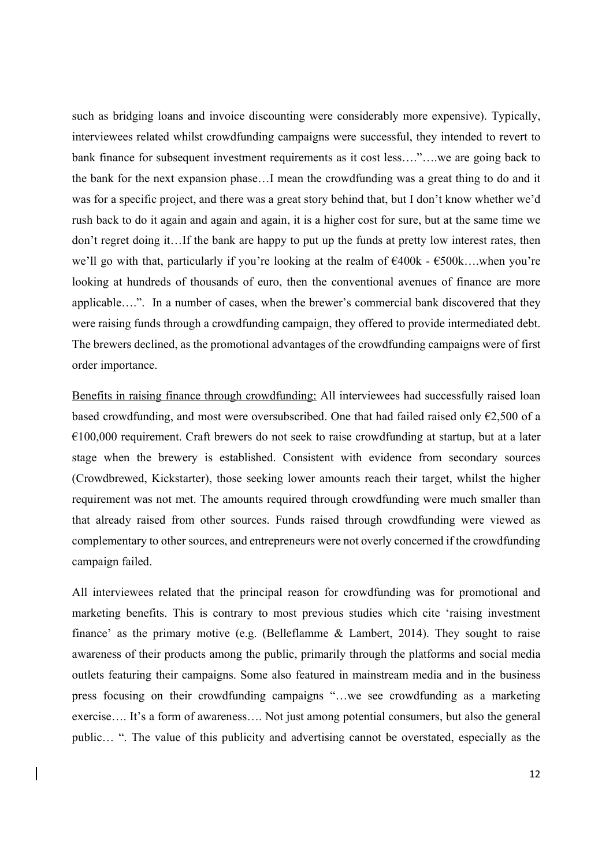such as bridging loans and invoice discounting were considerably more expensive). Typically, interviewees related whilst crowdfunding campaigns were successful, they intended to revert to bank finance for subsequent investment requirements as it cost less…."….we are going back to the bank for the next expansion phase…I mean the crowdfunding was a great thing to do and it was for a specific project, and there was a great story behind that, but I don't know whether we'd rush back to do it again and again and again, it is a higher cost for sure, but at the same time we don't regret doing it…If the bank are happy to put up the funds at pretty low interest rates, then we'll go with that, particularly if you're looking at the realm of €400k - €500k….when you're looking at hundreds of thousands of euro, then the conventional avenues of finance are more applicable….". In a number of cases, when the brewer's commercial bank discovered that they were raising funds through a crowdfunding campaign, they offered to provide intermediated debt. The brewers declined, as the promotional advantages of the crowdfunding campaigns were of first order importance.

Benefits in raising finance through crowdfunding: All interviewees had successfully raised loan based crowdfunding, and most were oversubscribed. One that had failed raised only  $\epsilon$ 2,500 of a  $€100,000$  requirement. Craft brewers do not seek to raise crowdfunding at startup, but at a later stage when the brewery is established. Consistent with evidence from secondary sources (Crowdbrewed, Kickstarter), those seeking lower amounts reach their target, whilst the higher requirement was not met. The amounts required through crowdfunding were much smaller than that already raised from other sources. Funds raised through crowdfunding were viewed as complementary to other sources, and entrepreneurs were not overly concerned if the crowdfunding campaign failed.

All interviewees related that the principal reason for crowdfunding was for promotional and marketing benefits. This is contrary to most previous studies which cite 'raising investment finance' as the primary motive (e.g. (Belleflamme & Lambert, 2014). They sought to raise awareness of their products among the public, primarily through the platforms and social media outlets featuring their campaigns. Some also featured in mainstream media and in the business press focusing on their crowdfunding campaigns "…we see crowdfunding as a marketing exercise…. It's a form of awareness…. Not just among potential consumers, but also the general public… ". The value of this publicity and advertising cannot be overstated, especially as the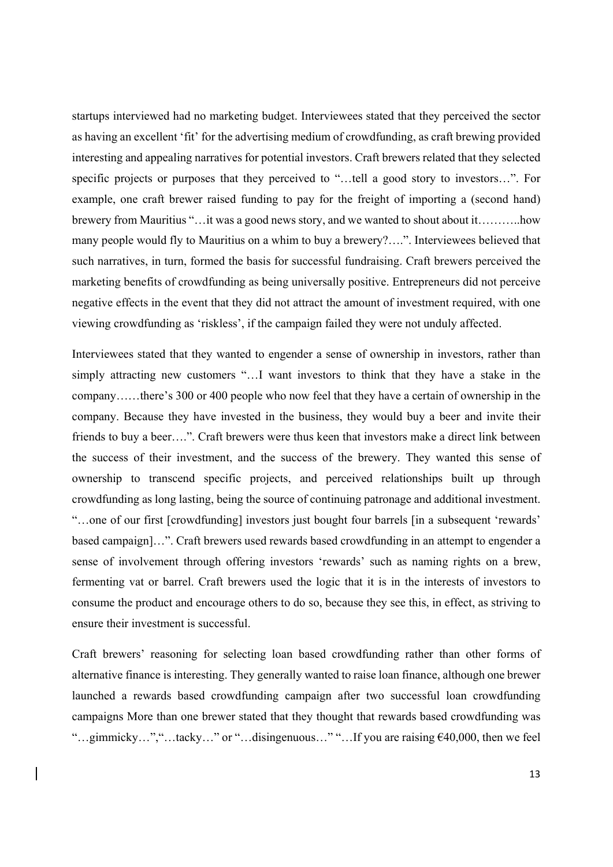startups interviewed had no marketing budget. Interviewees stated that they perceived the sector as having an excellent 'fit' for the advertising medium of crowdfunding, as craft brewing provided interesting and appealing narratives for potential investors. Craft brewers related that they selected specific projects or purposes that they perceived to "…tell a good story to investors…". For example, one craft brewer raised funding to pay for the freight of importing a (second hand) brewery from Mauritius "…it was a good news story, and we wanted to shout about it………..how many people would fly to Mauritius on a whim to buy a brewery?….". Interviewees believed that such narratives, in turn, formed the basis for successful fundraising. Craft brewers perceived the marketing benefits of crowdfunding as being universally positive. Entrepreneurs did not perceive negative effects in the event that they did not attract the amount of investment required, with one viewing crowdfunding as 'riskless', if the campaign failed they were not unduly affected.

Interviewees stated that they wanted to engender a sense of ownership in investors, rather than simply attracting new customers "…I want investors to think that they have a stake in the company……there's 300 or 400 people who now feel that they have a certain of ownership in the company. Because they have invested in the business, they would buy a beer and invite their friends to buy a beer….". Craft brewers were thus keen that investors make a direct link between the success of their investment, and the success of the brewery. They wanted this sense of ownership to transcend specific projects, and perceived relationships built up through crowdfunding as long lasting, being the source of continuing patronage and additional investment. "…one of our first [crowdfunding] investors just bought four barrels [in a subsequent 'rewards' based campaign]…". Craft brewers used rewards based crowdfunding in an attempt to engender a sense of involvement through offering investors 'rewards' such as naming rights on a brew, fermenting vat or barrel. Craft brewers used the logic that it is in the interests of investors to consume the product and encourage others to do so, because they see this, in effect, as striving to ensure their investment is successful.

Craft brewers' reasoning for selecting loan based crowdfunding rather than other forms of alternative finance is interesting. They generally wanted to raise loan finance, although one brewer launched a rewards based crowdfunding campaign after two successful loan crowdfunding campaigns More than one brewer stated that they thought that rewards based crowdfunding was "…gimmicky…","…tacky…" or "…disingenuous…" "…If you are raising €40,000, then we feel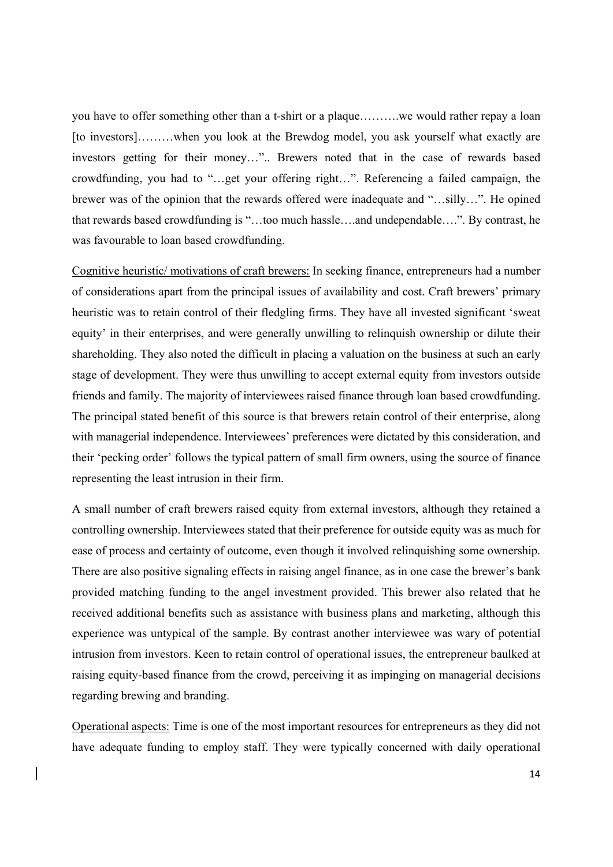you have to offer something other than a t-shirt or a plaque……….we would rather repay a loan [to investors]………when you look at the Brewdog model, you ask yourself what exactly are investors getting for their money…".. Brewers noted that in the case of rewards based crowdfunding, you had to "…get your offering right…". Referencing a failed campaign, the brewer was of the opinion that the rewards offered were inadequate and "…silly…". He opined that rewards based crowdfunding is "…too much hassle….and undependable….". By contrast, he was favourable to loan based crowdfunding.

Cognitive heuristic/ motivations of craft brewers: In seeking finance, entrepreneurs had a number of considerations apart from the principal issues of availability and cost. Craft brewers' primary heuristic was to retain control of their fledgling firms. They have all invested significant 'sweat equity' in their enterprises, and were generally unwilling to relinquish ownership or dilute their shareholding. They also noted the difficult in placing a valuation on the business at such an early stage of development. They were thus unwilling to accept external equity from investors outside friends and family. The majority of interviewees raised finance through loan based crowdfunding. The principal stated benefit of this source is that brewers retain control of their enterprise, along with managerial independence. Interviewees' preferences were dictated by this consideration, and their 'pecking order' follows the typical pattern of small firm owners, using the source of finance representing the least intrusion in their firm.

A small number of craft brewers raised equity from external investors, although they retained a controlling ownership. Interviewees stated that their preference for outside equity was as much for ease of process and certainty of outcome, even though it involved relinquishing some ownership. There are also positive signaling effects in raising angel finance, as in one case the brewer's bank provided matching funding to the angel investment provided. This brewer also related that he received additional benefits such as assistance with business plans and marketing, although this experience was untypical of the sample. By contrast another interviewee was wary of potential intrusion from investors. Keen to retain control of operational issues, the entrepreneur baulked at raising equity-based finance from the crowd, perceiving it as impinging on managerial decisions regarding brewing and branding.

Operational aspects: Time is one of the most important resources for entrepreneurs as they did not have adequate funding to employ staff. They were typically concerned with daily operational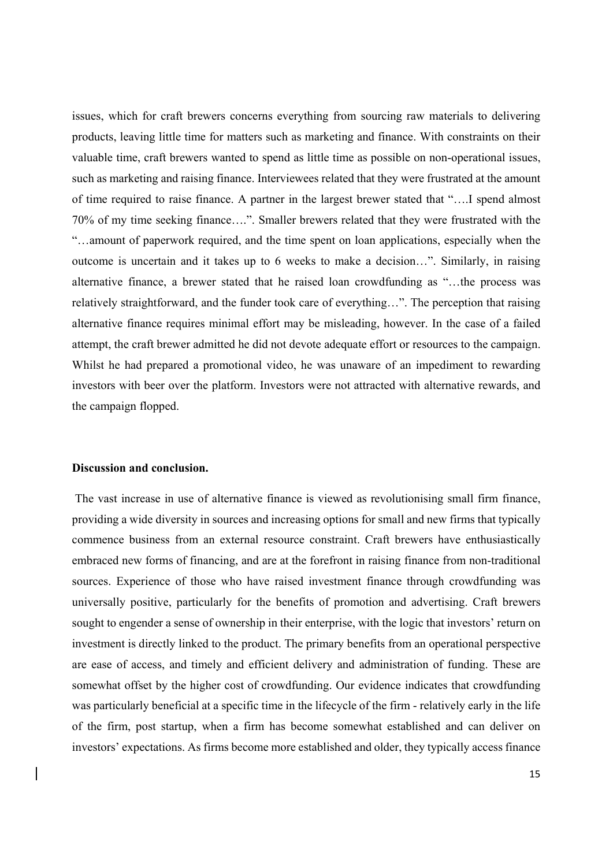issues, which for craft brewers concerns everything from sourcing raw materials to delivering products, leaving little time for matters such as marketing and finance. With constraints on their valuable time, craft brewers wanted to spend as little time as possible on non-operational issues, such as marketing and raising finance. Interviewees related that they were frustrated at the amount of time required to raise finance. A partner in the largest brewer stated that "….I spend almost 70% of my time seeking finance….". Smaller brewers related that they were frustrated with the "…amount of paperwork required, and the time spent on loan applications, especially when the outcome is uncertain and it takes up to 6 weeks to make a decision…". Similarly, in raising alternative finance, a brewer stated that he raised loan crowdfunding as "…the process was relatively straightforward, and the funder took care of everything…". The perception that raising alternative finance requires minimal effort may be misleading, however. In the case of a failed attempt, the craft brewer admitted he did not devote adequate effort or resources to the campaign. Whilst he had prepared a promotional video, he was unaware of an impediment to rewarding investors with beer over the platform. Investors were not attracted with alternative rewards, and the campaign flopped.

#### **Discussion and conclusion.**

 The vast increase in use of alternative finance is viewed as revolutionising small firm finance, providing a wide diversity in sources and increasing options for small and new firms that typically commence business from an external resource constraint. Craft brewers have enthusiastically embraced new forms of financing, and are at the forefront in raising finance from non-traditional sources. Experience of those who have raised investment finance through crowdfunding was universally positive, particularly for the benefits of promotion and advertising. Craft brewers sought to engender a sense of ownership in their enterprise, with the logic that investors' return on investment is directly linked to the product. The primary benefits from an operational perspective are ease of access, and timely and efficient delivery and administration of funding. These are somewhat offset by the higher cost of crowdfunding. Our evidence indicates that crowdfunding was particularly beneficial at a specific time in the lifecycle of the firm - relatively early in the life of the firm, post startup, when a firm has become somewhat established and can deliver on investors' expectations. As firms become more established and older, they typically access finance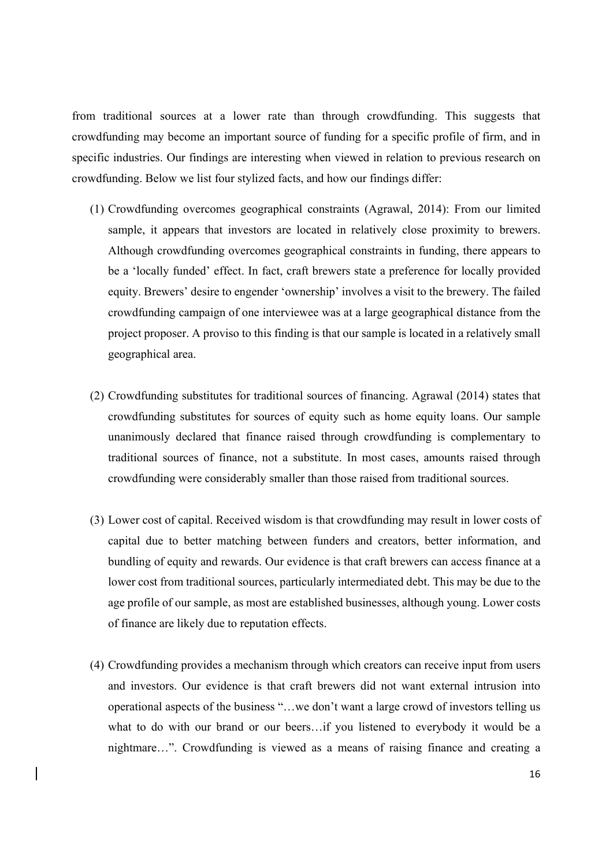from traditional sources at a lower rate than through crowdfunding. This suggests that crowdfunding may become an important source of funding for a specific profile of firm, and in specific industries. Our findings are interesting when viewed in relation to previous research on crowdfunding. Below we list four stylized facts, and how our findings differ:

- (1) Crowdfunding overcomes geographical constraints (Agrawal, 2014): From our limited sample, it appears that investors are located in relatively close proximity to brewers. Although crowdfunding overcomes geographical constraints in funding, there appears to be a 'locally funded' effect. In fact, craft brewers state a preference for locally provided equity. Brewers' desire to engender 'ownership' involves a visit to the brewery. The failed crowdfunding campaign of one interviewee was at a large geographical distance from the project proposer. A proviso to this finding is that our sample is located in a relatively small geographical area.
- (2) Crowdfunding substitutes for traditional sources of financing. Agrawal (2014) states that crowdfunding substitutes for sources of equity such as home equity loans. Our sample unanimously declared that finance raised through crowdfunding is complementary to traditional sources of finance, not a substitute. In most cases, amounts raised through crowdfunding were considerably smaller than those raised from traditional sources.
- (3) Lower cost of capital. Received wisdom is that crowdfunding may result in lower costs of capital due to better matching between funders and creators, better information, and bundling of equity and rewards. Our evidence is that craft brewers can access finance at a lower cost from traditional sources, particularly intermediated debt. This may be due to the age profile of our sample, as most are established businesses, although young. Lower costs of finance are likely due to reputation effects.
- (4) Crowdfunding provides a mechanism through which creators can receive input from users and investors. Our evidence is that craft brewers did not want external intrusion into operational aspects of the business "…we don't want a large crowd of investors telling us what to do with our brand or our beers…if you listened to everybody it would be a nightmare…". Crowdfunding is viewed as a means of raising finance and creating a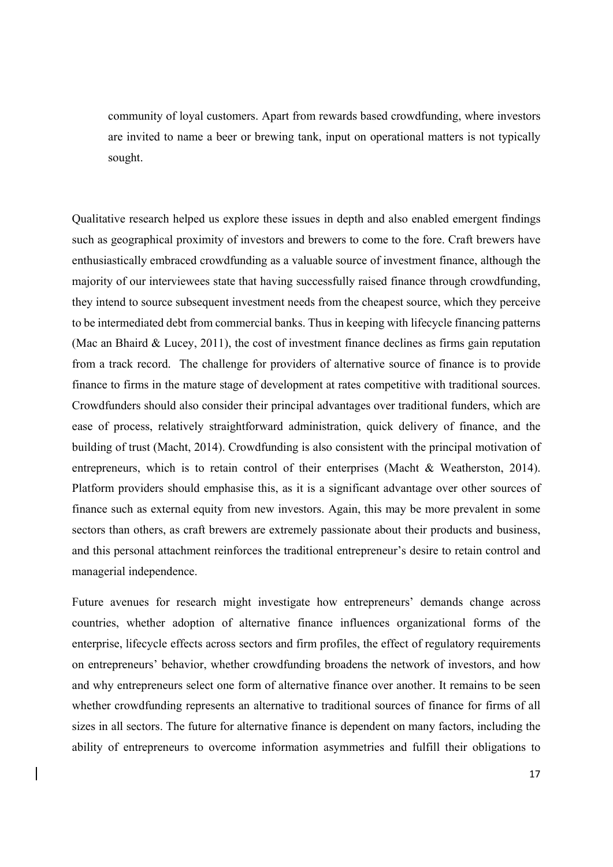community of loyal customers. Apart from rewards based crowdfunding, where investors are invited to name a beer or brewing tank, input on operational matters is not typically sought.

Qualitative research helped us explore these issues in depth and also enabled emergent findings such as geographical proximity of investors and brewers to come to the fore. Craft brewers have enthusiastically embraced crowdfunding as a valuable source of investment finance, although the majority of our interviewees state that having successfully raised finance through crowdfunding, they intend to source subsequent investment needs from the cheapest source, which they perceive to be intermediated debt from commercial banks. Thus in keeping with lifecycle financing patterns (Mac an Bhaird & Lucey, 2011), the cost of investment finance declines as firms gain reputation from a track record. The challenge for providers of alternative source of finance is to provide finance to firms in the mature stage of development at rates competitive with traditional sources. Crowdfunders should also consider their principal advantages over traditional funders, which are ease of process, relatively straightforward administration, quick delivery of finance, and the building of trust (Macht, 2014). Crowdfunding is also consistent with the principal motivation of entrepreneurs, which is to retain control of their enterprises (Macht & Weatherston, 2014). Platform providers should emphasise this, as it is a significant advantage over other sources of finance such as external equity from new investors. Again, this may be more prevalent in some sectors than others, as craft brewers are extremely passionate about their products and business, and this personal attachment reinforces the traditional entrepreneur's desire to retain control and managerial independence.

Future avenues for research might investigate how entrepreneurs' demands change across countries, whether adoption of alternative finance influences organizational forms of the enterprise, lifecycle effects across sectors and firm profiles, the effect of regulatory requirements on entrepreneurs' behavior, whether crowdfunding broadens the network of investors, and how and why entrepreneurs select one form of alternative finance over another. It remains to be seen whether crowdfunding represents an alternative to traditional sources of finance for firms of all sizes in all sectors. The future for alternative finance is dependent on many factors, including the ability of entrepreneurs to overcome information asymmetries and fulfill their obligations to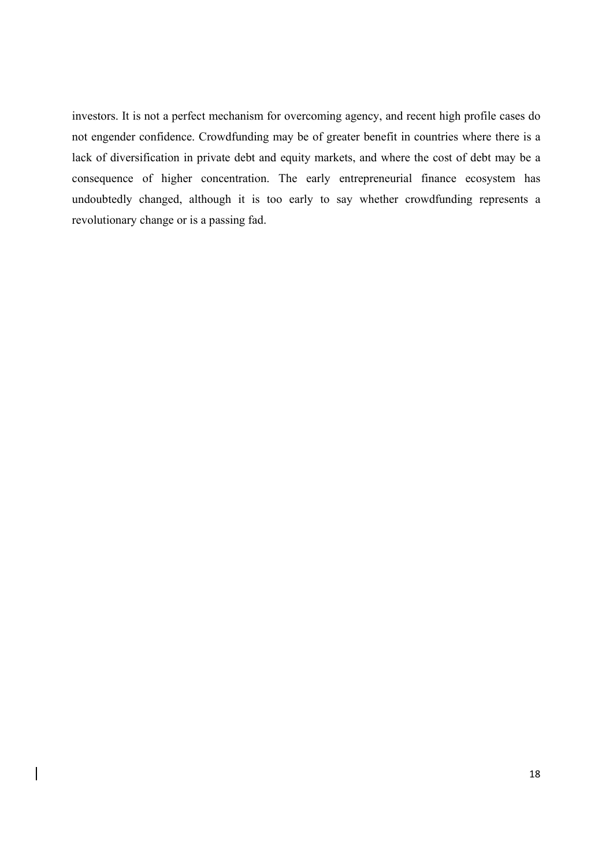investors. It is not a perfect mechanism for overcoming agency, and recent high profile cases do not engender confidence. Crowdfunding may be of greater benefit in countries where there is a lack of diversification in private debt and equity markets, and where the cost of debt may be a consequence of higher concentration. The early entrepreneurial finance ecosystem has undoubtedly changed, although it is too early to say whether crowdfunding represents a revolutionary change or is a passing fad.

 $\overline{\phantom{a}}$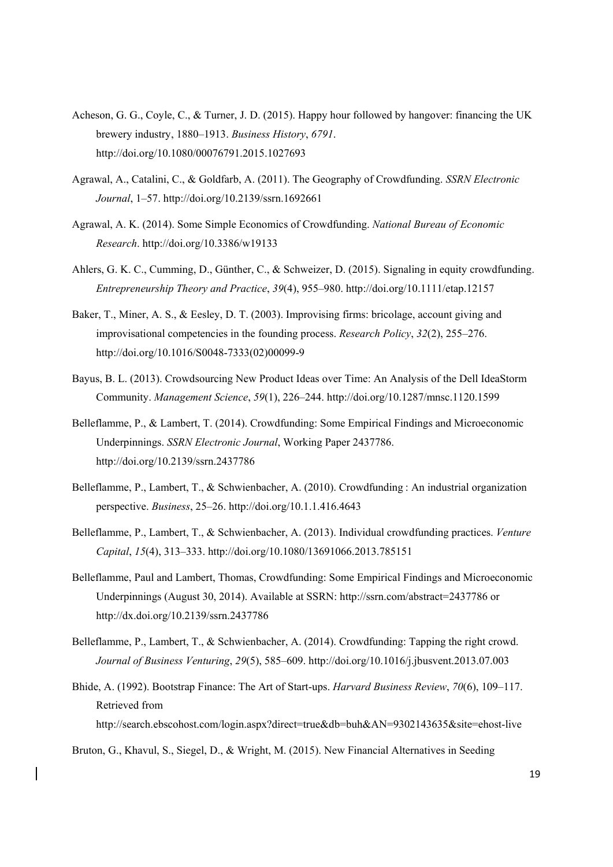- Acheson, G. G., Coyle, C., & Turner, J. D. (2015). Happy hour followed by hangover: financing the UK brewery industry, 1880–1913. *Business History*, *6791*. http://doi.org/10.1080/00076791.2015.1027693
- Agrawal, A., Catalini, C., & Goldfarb, A. (2011). The Geography of Crowdfunding. *SSRN Electronic Journal*, 1–57. http://doi.org/10.2139/ssrn.1692661
- Agrawal, A. K. (2014). Some Simple Economics of Crowdfunding. *National Bureau of Economic Research*. http://doi.org/10.3386/w19133
- Ahlers, G. K. C., Cumming, D., Günther, C., & Schweizer, D. (2015). Signaling in equity crowdfunding. *Entrepreneurship Theory and Practice*, *39*(4), 955–980. http://doi.org/10.1111/etap.12157
- Baker, T., Miner, A. S., & Eesley, D. T. (2003). Improvising firms: bricolage, account giving and improvisational competencies in the founding process. *Research Policy*, *32*(2), 255–276. http://doi.org/10.1016/S0048-7333(02)00099-9
- Bayus, B. L. (2013). Crowdsourcing New Product Ideas over Time: An Analysis of the Dell IdeaStorm Community. *Management Science*, *59*(1), 226–244. http://doi.org/10.1287/mnsc.1120.1599
- Belleflamme, P., & Lambert, T. (2014). Crowdfunding: Some Empirical Findings and Microeconomic Underpinnings. *SSRN Electronic Journal*, Working Paper 2437786. http://doi.org/10.2139/ssrn.2437786
- Belleflamme, P., Lambert, T., & Schwienbacher, A. (2010). Crowdfunding : An industrial organization perspective. *Business*, 25–26. http://doi.org/10.1.1.416.4643
- Belleflamme, P., Lambert, T., & Schwienbacher, A. (2013). Individual crowdfunding practices. *Venture Capital*, *15*(4), 313–333. http://doi.org/10.1080/13691066.2013.785151
- Belleflamme, Paul and Lambert, Thomas, Crowdfunding: Some Empirical Findings and Microeconomic Underpinnings (August 30, 2014). Available at SSRN: http://ssrn.com/abstract=2437786 or http://dx.doi.org/10.2139/ssrn.2437786
- Belleflamme, P., Lambert, T., & Schwienbacher, A. (2014). Crowdfunding: Tapping the right crowd. *Journal of Business Venturing*, *29*(5), 585–609. http://doi.org/10.1016/j.jbusvent.2013.07.003
- Bhide, A. (1992). Bootstrap Finance: The Art of Start-ups. *Harvard Business Review*, *70*(6), 109–117. Retrieved from http://search.ebscohost.com/login.aspx?direct=true&db=buh&AN=9302143635&site=ehost-live

Bruton, G., Khavul, S., Siegel, D., & Wright, M. (2015). New Financial Alternatives in Seeding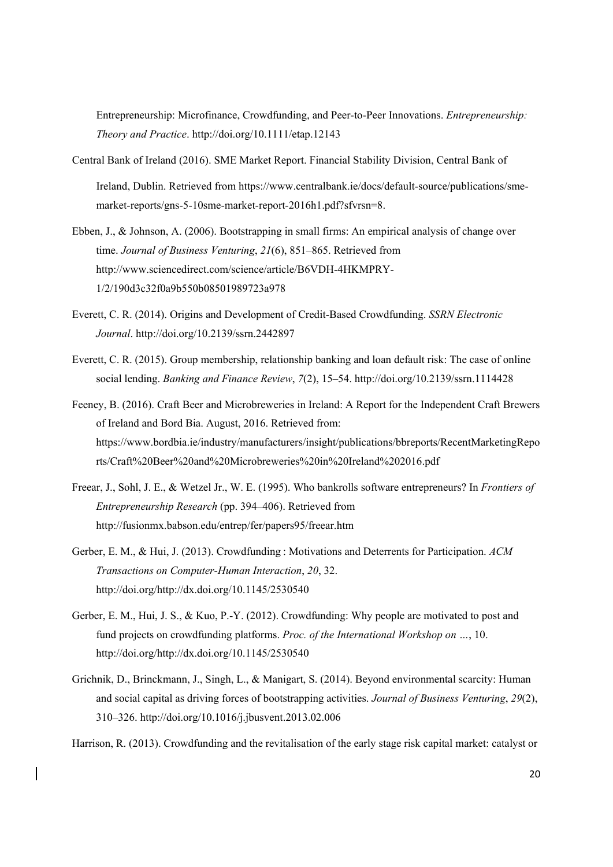Entrepreneurship: Microfinance, Crowdfunding, and Peer-to-Peer Innovations. *Entrepreneurship: Theory and Practice*. http://doi.org/10.1111/etap.12143

- Central Bank of Ireland (2016). SME Market Report. Financial Stability Division, Central Bank of Ireland, Dublin. Retrieved from https://www.centralbank.ie/docs/default-source/publications/smemarket-reports/gns-5-10sme-market-report-2016h1.pdf?sfvrsn=8.
- Ebben, J., & Johnson, A. (2006). Bootstrapping in small firms: An empirical analysis of change over time. *Journal of Business Venturing*, *21*(6), 851–865. Retrieved from http://www.sciencedirect.com/science/article/B6VDH-4HKMPRY-1/2/190d3c32f0a9b550b08501989723a978
- Everett, C. R. (2014). Origins and Development of Credit-Based Crowdfunding. *SSRN Electronic Journal*. http://doi.org/10.2139/ssrn.2442897
- Everett, C. R. (2015). Group membership, relationship banking and loan default risk: The case of online social lending. *Banking and Finance Review*, *7*(2), 15–54. http://doi.org/10.2139/ssrn.1114428
- Feeney, B. (2016). Craft Beer and Microbreweries in Ireland: A Report for the Independent Craft Brewers of Ireland and Bord Bia. August, 2016. Retrieved from: https://www.bordbia.ie/industry/manufacturers/insight/publications/bbreports/RecentMarketingRepo rts/Craft%20Beer%20and%20Microbreweries%20in%20Ireland%202016.pdf
- Freear, J., Sohl, J. E., & Wetzel Jr., W. E. (1995). Who bankrolls software entrepreneurs? In *Frontiers of Entrepreneurship Research* (pp. 394–406). Retrieved from http://fusionmx.babson.edu/entrep/fer/papers95/freear.htm
- Gerber, E. M., & Hui, J. (2013). Crowdfunding : Motivations and Deterrents for Participation. *ACM Transactions on Computer-Human Interaction*, *20*, 32. http://doi.org/http://dx.doi.org/10.1145/2530540
- Gerber, E. M., Hui, J. S., & Kuo, P.-Y. (2012). Crowdfunding: Why people are motivated to post and fund projects on crowdfunding platforms. *Proc. of the International Workshop on …*, 10. http://doi.org/http://dx.doi.org/10.1145/2530540
- Grichnik, D., Brinckmann, J., Singh, L., & Manigart, S. (2014). Beyond environmental scarcity: Human and social capital as driving forces of bootstrapping activities. *Journal of Business Venturing*, *29*(2), 310–326. http://doi.org/10.1016/j.jbusvent.2013.02.006

Harrison, R. (2013). Crowdfunding and the revitalisation of the early stage risk capital market: catalyst or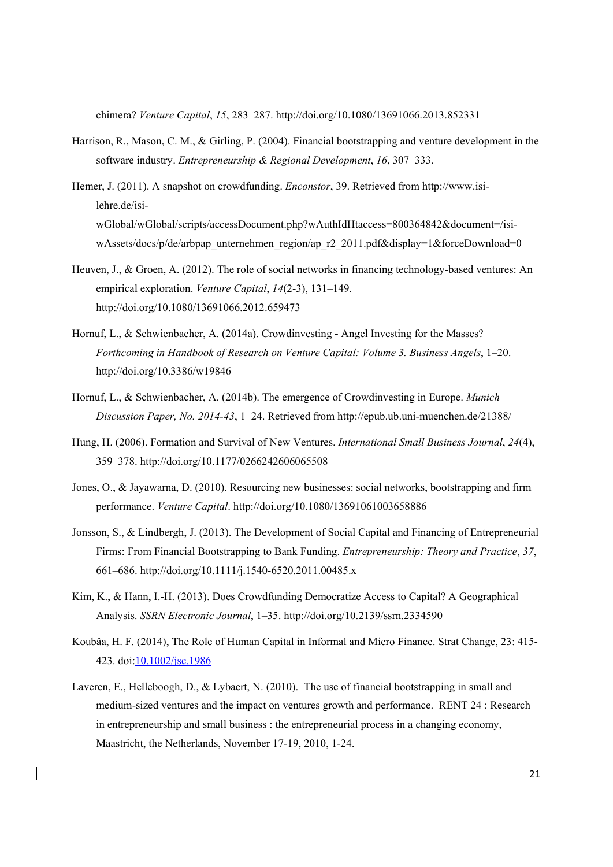chimera? *Venture Capital*, *15*, 283–287. http://doi.org/10.1080/13691066.2013.852331

- Harrison, R., Mason, C. M., & Girling, P. (2004). Financial bootstrapping and venture development in the software industry. *Entrepreneurship & Regional Development*, *16*, 307–333.
- Hemer, J. (2011). A snapshot on crowdfunding. *Enconstor*, 39. Retrieved from http://www.isilehre.de/isiwGlobal/wGlobal/scripts/accessDocument.php?wAuthIdHtaccess=800364842&document=/isiwAssets/docs/p/de/arbpap\_unternehmen\_region/ap\_r2\_2011.pdf&display=1&forceDownload=0
- Heuven, J., & Groen, A. (2012). The role of social networks in financing technology-based ventures: An empirical exploration. *Venture Capital*, *14*(2-3), 131–149. http://doi.org/10.1080/13691066.2012.659473
- Hornuf, L., & Schwienbacher, A. (2014a). Crowdinvesting Angel Investing for the Masses? *Forthcoming in Handbook of Research on Venture Capital: Volume 3. Business Angels*, 1–20. http://doi.org/10.3386/w19846
- Hornuf, L., & Schwienbacher, A. (2014b). The emergence of Crowdinvesting in Europe. *Munich Discussion Paper, No. 2014-43*, 1–24. Retrieved from http://epub.ub.uni-muenchen.de/21388/
- Hung, H. (2006). Formation and Survival of New Ventures. *International Small Business Journal*, *24*(4), 359–378. http://doi.org/10.1177/0266242606065508
- Jones, O., & Jayawarna, D. (2010). Resourcing new businesses: social networks, bootstrapping and firm performance. *Venture Capital*. http://doi.org/10.1080/13691061003658886
- Jonsson, S., & Lindbergh, J. (2013). The Development of Social Capital and Financing of Entrepreneurial Firms: From Financial Bootstrapping to Bank Funding. *Entrepreneurship: Theory and Practice*, *37*, 661–686. http://doi.org/10.1111/j.1540-6520.2011.00485.x
- Kim, K., & Hann, I.-H. (2013). Does Crowdfunding Democratize Access to Capital? A Geographical Analysis. *SSRN Electronic Journal*, 1–35. http://doi.org/10.2139/ssrn.2334590
- Koubâa, H. F. (2014), The Role of Human Capital in Informal and Micro Finance. Strat Change, 23: 415- 423. doi:10.1002/jsc.1986
- Laveren, E., Helleboogh, D., & Lybaert, N. (2010). The use of financial bootstrapping in small and medium-sized ventures and the impact on ventures growth and performance. RENT 24 : Research in entrepreneurship and small business : the entrepreneurial process in a changing economy, Maastricht, the Netherlands, November 17-19, 2010, 1-24.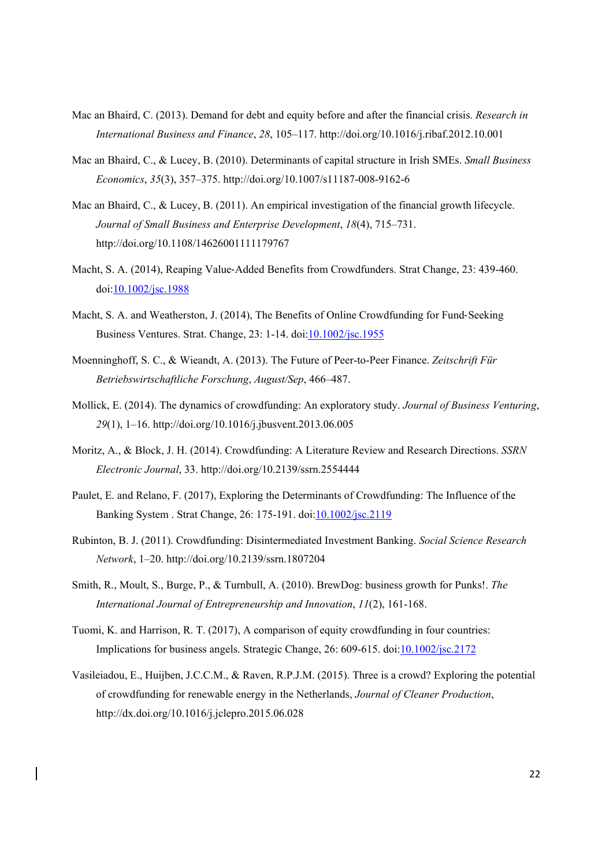- Mac an Bhaird, C. (2013). Demand for debt and equity before and after the financial crisis. *Research in International Business and Finance*, *28*, 105–117. http://doi.org/10.1016/j.ribaf.2012.10.001
- Mac an Bhaird, C., & Lucey, B. (2010). Determinants of capital structure in Irish SMEs. *Small Business Economics*, *35*(3), 357–375. http://doi.org/10.1007/s11187-008-9162-6
- Mac an Bhaird, C., & Lucey, B. (2011). An empirical investigation of the financial growth lifecycle. *Journal of Small Business and Enterprise Development*, *18*(4), 715–731. http://doi.org/10.1108/14626001111179767
- Macht, S. A. (2014), Reaping Value‐Added Benefits from Crowdfunders. Strat Change, 23: 439-460. doi:10.1002/jsc.1988
- Macht, S. A. and Weatherston, J. (2014), The Benefits of Online Crowdfunding for Fund-Seeking Business Ventures. Strat. Change, 23: 1-14. doi:10.1002/jsc.1955
- Moenninghoff, S. C., & Wieandt, A. (2013). The Future of Peer-to-Peer Finance. *Zeitschrift Für Betriebswirtschaftliche Forschung*, *August/Sep*, 466–487.
- Mollick, E. (2014). The dynamics of crowdfunding: An exploratory study. *Journal of Business Venturing*, *29*(1), 1–16. http://doi.org/10.1016/j.jbusvent.2013.06.005
- Moritz, A., & Block, J. H. (2014). Crowdfunding: A Literature Review and Research Directions. *SSRN Electronic Journal*, 33. http://doi.org/10.2139/ssrn.2554444
- Paulet, E. and Relano, F. (2017), Exploring the Determinants of Crowdfunding: The Influence of the Banking System . Strat Change, 26: 175-191. doi:10.1002/jsc.2119
- Rubinton, B. J. (2011). Crowdfunding: Disintermediated Investment Banking. *Social Science Research Network*, 1–20. http://doi.org/10.2139/ssrn.1807204
- Smith, R., Moult, S., Burge, P., & Turnbull, A. (2010). BrewDog: business growth for Punks!. *The International Journal of Entrepreneurship and Innovation*, *11*(2), 161-168.
- Tuomi, K. and Harrison, R. T. (2017), A comparison of equity crowdfunding in four countries: Implications for business angels. Strategic Change, 26: 609-615. doi:10.1002/jsc.2172
- Vasileiadou, E., Huijben, J.C.C.M., & Raven, R.P.J.M. (2015). Three is a crowd? Exploring the potential of crowdfunding for renewable energy in the Netherlands, *Journal of Cleaner Production*, http://dx.doi.org/10.1016/j.jclepro.2015.06.028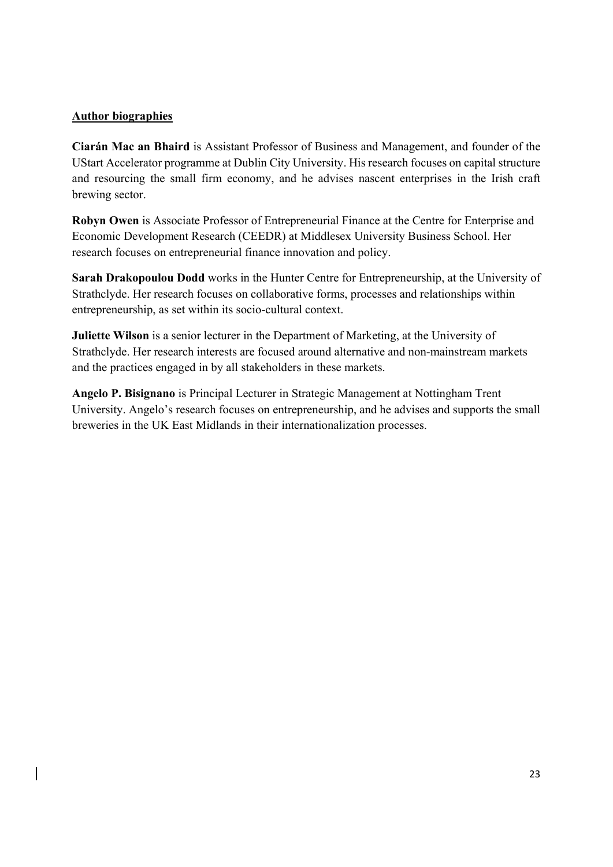## **Author biographies**

**Ciarán Mac an Bhaird** is Assistant Professor of Business and Management, and founder of the UStart Accelerator programme at Dublin City University. His research focuses on capital structure and resourcing the small firm economy, and he advises nascent enterprises in the Irish craft brewing sector.

**Robyn Owen** is Associate Professor of Entrepreneurial Finance at the Centre for Enterprise and Economic Development Research (CEEDR) at Middlesex University Business School. Her research focuses on entrepreneurial finance innovation and policy.

**Sarah Drakopoulou Dodd** works in the Hunter Centre for Entrepreneurship, at the University of Strathclyde. Her research focuses on collaborative forms, processes and relationships within entrepreneurship, as set within its socio-cultural context.

**Juliette Wilson** is a senior lecturer in the Department of Marketing, at the University of Strathclyde. Her research interests are focused around alternative and non-mainstream markets and the practices engaged in by all stakeholders in these markets.

**Angelo P. Bisignano** is Principal Lecturer in Strategic Management at Nottingham Trent University. Angelo's research focuses on entrepreneurship, and he advises and supports the small breweries in the UK East Midlands in their internationalization processes.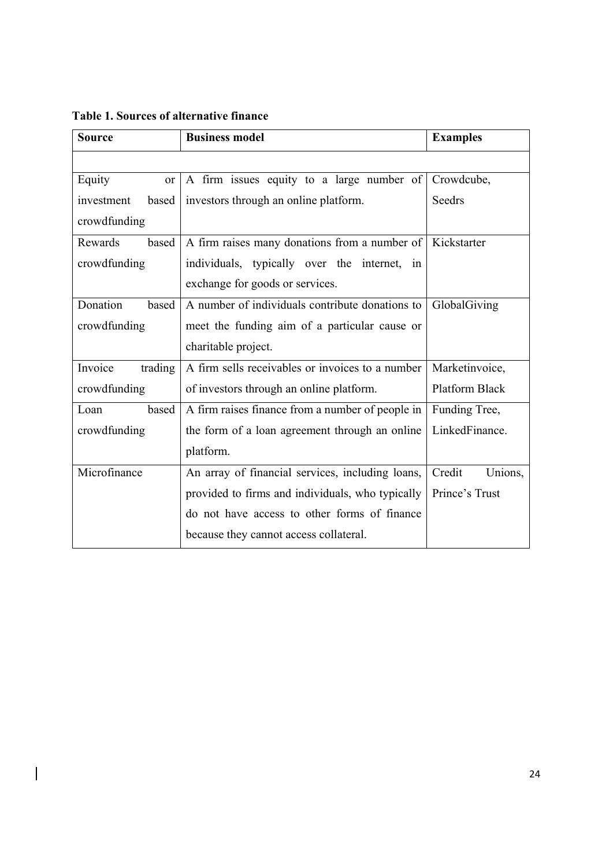| <b>Table 1. Sources of alternative finance</b> |  |  |  |
|------------------------------------------------|--|--|--|
|------------------------------------------------|--|--|--|

 $\overline{\mathbf{I}}$ 

| <b>Source</b>           | <b>Business model</b>                                              | <b>Examples</b>       |  |
|-------------------------|--------------------------------------------------------------------|-----------------------|--|
|                         |                                                                    |                       |  |
| Equity<br><sub>or</sub> | A firm issues equity to a large number of                          | Crowdcube,            |  |
| investment<br>based     | investors through an online platform.                              | Seedrs                |  |
| crowdfunding            |                                                                    |                       |  |
| Rewards<br>based        | A firm raises many donations from a number of<br>Kickstarter       |                       |  |
| crowdfunding            | individuals, typically over the internet, in                       |                       |  |
|                         | exchange for goods or services.                                    |                       |  |
| Donation<br>based       | A number of individuals contribute donations to                    | GlobalGiving          |  |
| crowdfunding            | meet the funding aim of a particular cause or                      |                       |  |
|                         | charitable project.                                                |                       |  |
| Invoice<br>trading      | A firm sells receivables or invoices to a number<br>Marketinvoice, |                       |  |
| crowdfunding            | of investors through an online platform.                           | <b>Platform Black</b> |  |
| Loan<br>based           | A firm raises finance from a number of people in                   | Funding Tree,         |  |
| crowdfunding            | the form of a loan agreement through an online                     | LinkedFinance.        |  |
|                         | platform.                                                          |                       |  |
| Microfinance            | An array of financial services, including loans,                   | Credit<br>Unions,     |  |
|                         | provided to firms and individuals, who typically                   | Prince's Trust        |  |
|                         | do not have access to other forms of finance                       |                       |  |
|                         | because they cannot access collateral.                             |                       |  |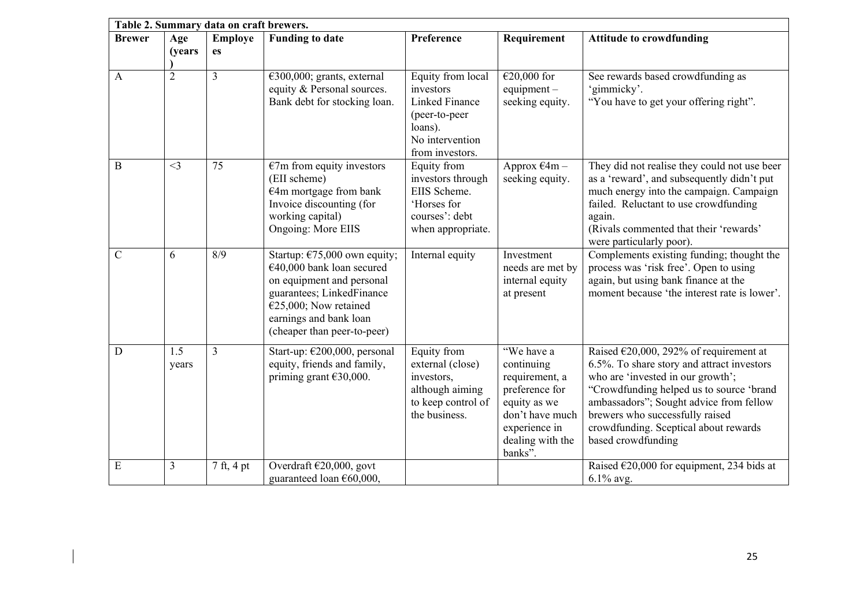| Table 2. Summary data on craft brewers. |                |                      |                                                                                                                                                                                                           |                                                                                                                    |                                                                                                                                                 |                                                                                                                                                                                                                                                                                                                              |
|-----------------------------------------|----------------|----------------------|-----------------------------------------------------------------------------------------------------------------------------------------------------------------------------------------------------------|--------------------------------------------------------------------------------------------------------------------|-------------------------------------------------------------------------------------------------------------------------------------------------|------------------------------------------------------------------------------------------------------------------------------------------------------------------------------------------------------------------------------------------------------------------------------------------------------------------------------|
| <b>Brewer</b>                           | Age<br>(years) | <b>Employe</b><br>es | <b>Funding to date</b>                                                                                                                                                                                    | Preference                                                                                                         | Requirement                                                                                                                                     | <b>Attitude to crowdfunding</b>                                                                                                                                                                                                                                                                                              |
| $\mathbf{A}$                            | $\overline{2}$ | $\overline{3}$       | $\epsilon$ 300,000; grants, external<br>equity & Personal sources.<br>Bank debt for stocking loan.                                                                                                        | Equity from local<br>investors<br>Linked Finance<br>(peer-to-peer<br>loans).<br>No intervention<br>from investors. | $€20,000$ for<br>$equipment -$<br>seeking equity.                                                                                               | See rewards based crowdfunding as<br>'gimmicky'.<br>"You have to get your offering right".                                                                                                                                                                                                                                   |
| $\bf{B}$                                | $\leq$ 3       | 75                   | $\epsilon$ 7m from equity investors<br>(EII scheme)<br>$€4m$ mortgage from bank<br>Invoice discounting (for<br>working capital)<br>Ongoing: More EIIS                                                     | Equity from<br>investors through<br>EIIS Scheme.<br>'Horses for<br>courses': debt<br>when appropriate.             | Approx $\epsilon$ 4m –<br>seeking equity.                                                                                                       | They did not realise they could not use beer<br>as a 'reward', and subsequently didn't put<br>much energy into the campaign. Campaign<br>failed. Reluctant to use crowdfunding<br>again.<br>(Rivals commented that their 'rewards'<br>were particularly poor).                                                               |
| $\mathbf C$                             | 6              | 8/9                  | Startup: €75,000 own equity;<br>$€40,000$ bank loan secured<br>on equipment and personal<br>guarantees; LinkedFinance<br>$€25,000;$ Now retained<br>earnings and bank loan<br>(cheaper than peer-to-peer) | Internal equity                                                                                                    | Investment<br>needs are met by<br>internal equity<br>at present                                                                                 | Complements existing funding; thought the<br>process was 'risk free'. Open to using<br>again, but using bank finance at the<br>moment because 'the interest rate is lower'.                                                                                                                                                  |
| D                                       | 1.5<br>years   | $\overline{3}$       | Start-up: €200,000, personal<br>equity, friends and family,<br>priming grant $€30,000$ .                                                                                                                  | Equity from<br>external (close)<br>investors,<br>although aiming<br>to keep control of<br>the business.            | "We have a<br>continuing<br>requirement, a<br>preference for<br>equity as we<br>don't have much<br>experience in<br>dealing with the<br>banks". | Raised $\epsilon$ 20,000, 292% of requirement at<br>6.5%. To share story and attract investors<br>who are 'invested in our growth';<br>"Crowdfunding helped us to source 'brand<br>ambassadors"; Sought advice from fellow<br>brewers who successfully raised<br>crowdfunding. Sceptical about rewards<br>based crowdfunding |
| E                                       | 3              | 7 ft, 4 pt           | Overdraft €20,000, govt<br>guaranteed loan $\epsilon$ 60,000,                                                                                                                                             |                                                                                                                    |                                                                                                                                                 | Raised $\epsilon$ 20,000 for equipment, 234 bids at<br>$6.1\%$ avg.                                                                                                                                                                                                                                                          |